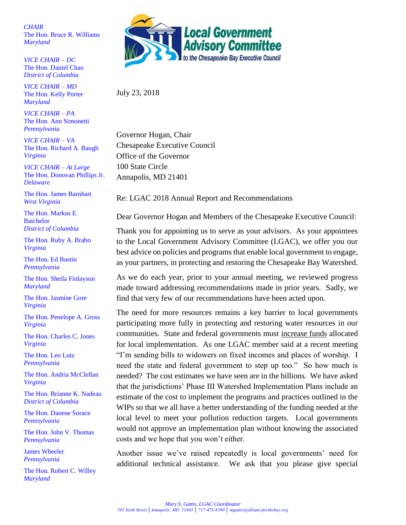*CHAIR* The Hon. Bruce R. Williams *Maryland*

*VICE CHAIR – DC* The Hon. Daniel Chao *District of Columbia* 

*VICE CHAIR – MD* The Hon. Kelly Porter *Maryland*

*VICE CHAIR – PA* The Hon. Ann Simonetti *Pennsylvania*

*VICE CHAIR – VA* The Hon. Richard A. Baugh *Virginia*

*VICE CHAIR – At Large* The Hon. Donovan Phillips Jr. *Delaware*

The Hon. James Barnhart *West Virginia*

The Hon. Markus E. Batchelor *District of Columbia* 

The Hon. Ruby A. Brabo *Virginia*

The Hon. Ed Bustin *Pennsylvania*

The Hon. Sheila Finlayson *Maryland*

The Hon. Jasmine Gore *Virginia*

The Hon. Penelope A. Gross *Virginia*

The Hon. Charles C. Jones *Virginia*

The Hon. Leo Lutz *Pennsylvania*

The Hon. Andria McClellan *Virginia*

The Hon. Brianne K. Nadeau *District of Columbia* 

The Hon. Danene Sorace *Pennsylvania*

The Hon. John V. Thomas *Pennsylvania*

James Wheeler *Pennsylvania* 

The Hon. Robert C. Willey *Maryland*



July 23, 2018

Governor Hogan, Chair Chesapeake Executive Council Office of the Governor 100 State Circle Annapolis, MD 21401

Re: LGAC 2018 Annual Report and Recommendations

Dear Governor Hogan and Members of the Chesapeake Executive Council:

Thank you for appointing us to serve as your advisors. As your appointees to the Local Government Advisory Committee (LGAC), we offer you our best advice on policies and programs that enable local government to engage, as your partners, in protecting and restoring the Chesapeake Bay Watershed.

As we do each year, prior to your annual meeting, we reviewed progress made toward addressing recommendations made in prior years. Sadly, we find that very few of our recommendations have been acted upon.

The need for more resources remains a key barrier to local governments participating more fully in protecting and restoring water resources in our communities. State and federal governments must increase funds allocated for local implementation. As one LGAC member said at a recent meeting "I'm sending bills to widowers on fixed incomes and places of worship. I need the state and federal government to step up too." So how much is needed? The cost estimates we have seen are in the billions. We have asked that the jurisdictions' Phase III Watershed Implementation Plans include an estimate of the cost to implement the programs and practices outlined in the WIPs so that we all have a better understanding of the funding needed at the local level to meet your pollution reduction targets. Local governments would not approve an implementation plan without knowing the associated costs and we hope that you won't either.

Another issue we've raised repeatedly is local governments' need for additional technical assistance. We ask that you please give special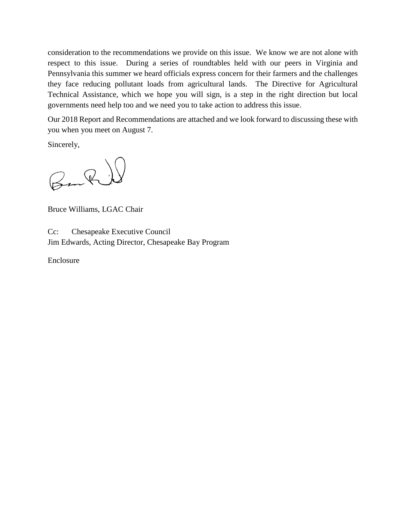consideration to the recommendations we provide on this issue. We know we are not alone with respect to this issue. During a series of roundtables held with our peers in Virginia and Pennsylvania this summer we heard officials express concern for their farmers and the challenges they face reducing pollutant loads from agricultural lands. The Directive for Agricultural Technical Assistance, which we hope you will sign, is a step in the right direction but local governments need help too and we need you to take action to address this issue.

Our 2018 Report and Recommendations are attached and we look forward to discussing these with you when you meet on August 7.

Sincerely,

Bark

Bruce Williams, LGAC Chair

Cc: Chesapeake Executive Council Jim Edwards, Acting Director, Chesapeake Bay Program

Enclosure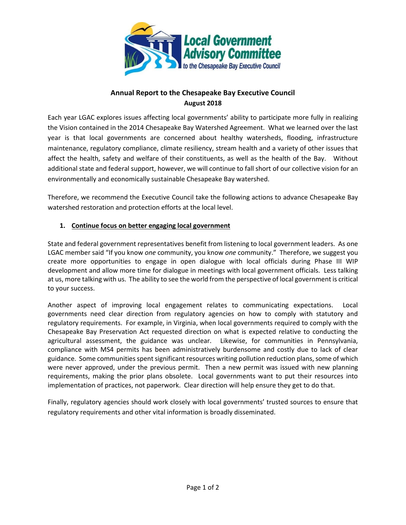

## **Annual Report to the Chesapeake Bay Executive Council August 2018**

Each year LGAC explores issues affecting local governments' ability to participate more fully in realizing the Vision contained in the 2014 Chesapeake Bay Watershed Agreement. What we learned over the last year is that local governments are concerned about healthy watersheds, flooding, infrastructure maintenance, regulatory compliance, climate resiliency, stream health and a variety of other issues that affect the health, safety and welfare of their constituents, as well as the health of the Bay. Without additional state and federal support, however, we will continue to fall short of our collective vision for an environmentally and economically sustainable Chesapeake Bay watershed.

Therefore, we recommend the Executive Council take the following actions to advance Chesapeake Bay watershed restoration and protection efforts at the local level.

## **1. Continue focus on better engaging local government**

State and federal government representatives benefit from listening to local government leaders. As one LGAC member said "If you know *one* community, you know *one* community." Therefore, we suggest you create more opportunities to engage in open dialogue with local officials during Phase III WIP development and allow more time for dialogue in meetings with local government officials. Less talking at us, more talking with us. The ability to see the world from the perspective of local government is critical to your success.

Another aspect of improving local engagement relates to communicating expectations. Local governments need clear direction from regulatory agencies on how to comply with statutory and regulatory requirements. For example, in Virginia, when local governments required to comply with the Chesapeake Bay Preservation Act requested direction on what is expected relative to conducting the agricultural assessment, the guidance was unclear. Likewise, for communities in Pennsylvania, compliance with MS4 permits has been administratively burdensome and costly due to lack of clear guidance. Some communities spent significant resources writing pollution reduction plans, some of which were never approved, under the previous permit. Then a new permit was issued with new planning requirements, making the prior plans obsolete. Local governments want to put their resources into implementation of practices, not paperwork. Clear direction will help ensure they get to do that.

Finally, regulatory agencies should work closely with local governments' trusted sources to ensure that regulatory requirements and other vital information is broadly disseminated.